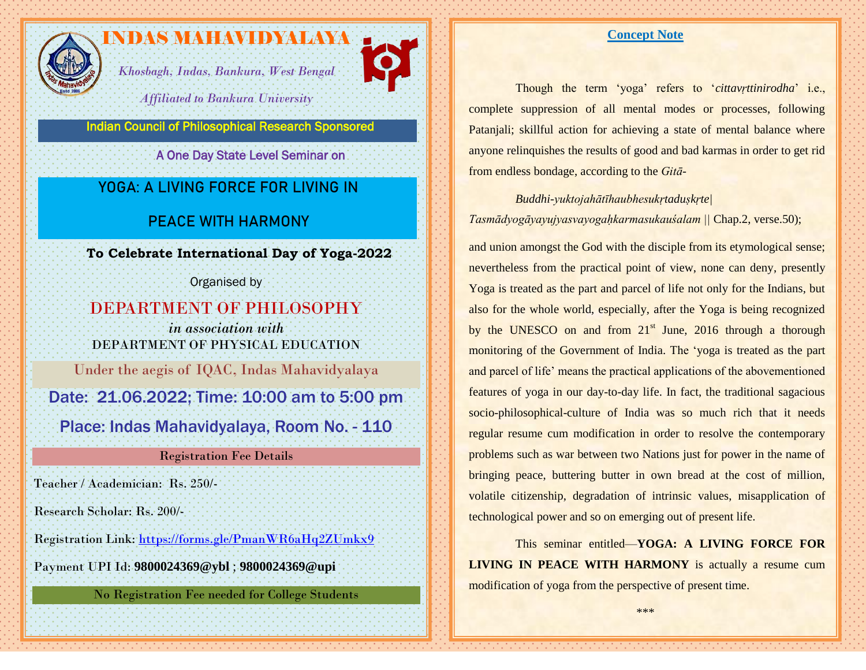

# INDAS MAHAVIDYALAYA ...

*Khosbagh, Indas, Bankura, West Bengal*



*Affiliated to Bankura University*

Indian Council of Philosophical Research Sponsored

A One Day State Level Seminar on

# **YOGA: A LIVING FORCE FOR LIVING IN**

## **PEACE WITH HARMONY**

**To Celebrate International Day of Yoga-2022**

Organised by

DEPARTMENT OF PHILOSOPHY *in association with* DEPARTMENT OF PHYSICAL EDUCATION Under the aegis of IQAC, Indas Mahavidyalaya

Date: 21.06.2022; Time: 10:00 am to 5:00 pm

Place: Indas Mahavidyalaya, Room No. - 110

## Registration Fee Details

Teacher / Academician: Rs. 250/-

Research Scholar: Rs. 200/-

Registration Link:<https://forms.gle/PmanWR6aHq2ZUmkx9>

Payment UPI Id: **9800024369@ybl** ; **9800024369@upi**

No Registration Fee needed for College Students

### **Concept Note**

Though the term 'yoga' refers to '*cittavṛttinirodha*' i.e., complete suppression of all mental modes or processes, following Patanjali; skillful action for achieving a state of mental balance where anyone relinquishes the results of good and bad karmas in order to get rid from endless bondage, according to the *Gitā-*

*Buddhi-yuktojahātīhaubhesukṛtaduṣkṛte| Tasmādyogāyayujyasvayogaḥkarmasukauśalam ||* Chap.2, verse.50);

and union amongst the God with the disciple from its etymological sense; nevertheless from the practical point of view, none can deny, presently Yoga is treated as the part and parcel of life not only for the Indians, but also for the whole world, especially, after the Yoga is being recognized by the UNESCO on and from  $21<sup>st</sup>$  June, 2016 through a thorough monitoring of the Government of India. The 'yoga is treated as the part and parcel of life' means the practical applications of the abovementioned features of yoga in our day-to-day life. In fact, the traditional sagacious socio-philosophical-culture of India was so much rich that it needs regular resume cum modification in order to resolve the contemporary problems such as war between two Nations just for power in the name of bringing peace, buttering butter in own bread at the cost of million, volatile citizenship, degradation of intrinsic values, misapplication of technological power and so on emerging out of present life.

This seminar entitled—**YOGA: A LIVING FORCE FOR LIVING IN PEACE WITH HARMONY** is actually a resume cum modification of yoga from the perspective of present time.

\*\*\*